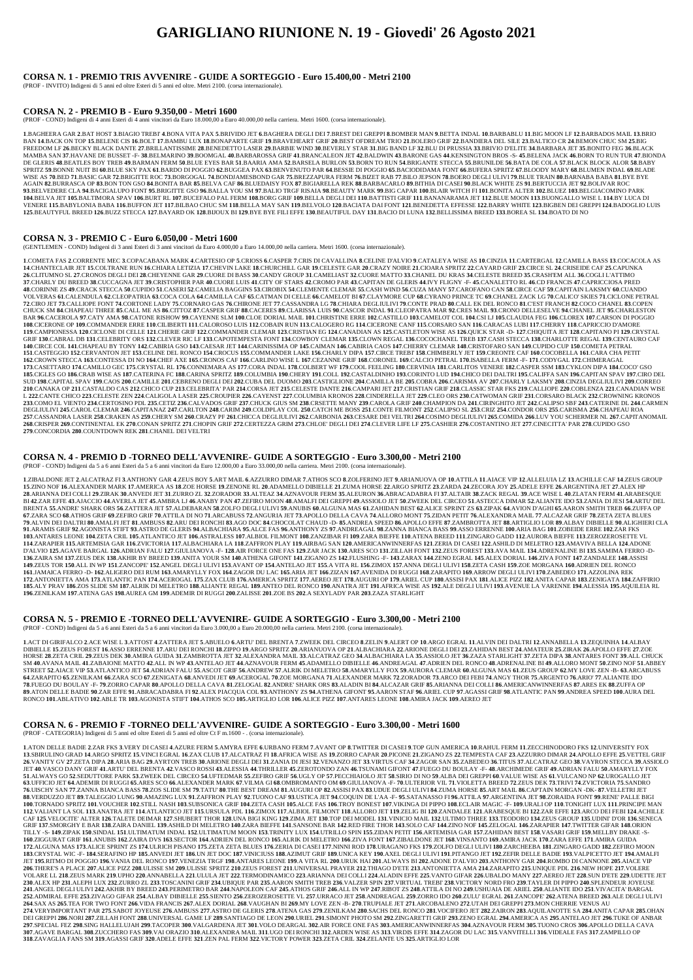# **GARIGLIANO RIUNIONE N. 19 - Giovedi' 26 Agosto 2021**

#### **CORSA N. 1 - PREMIO TRIS AVVENIRE - GUIDE A SORTEGGIO - Euro 15.400,00 - Metri 2100**

(PROF - INVITO) Indigeni di 5 anni ed oltre Esteri di 5 anni ed oltre. Metri 2100. (corsa internazionale).

#### **CORSA N. 2 - PREMIO B - Euro 9.350,00 - Metri 1600**

(PROF - COND) Indigeni di 4 anni Esteri di 4 anni vincitori da Euro 18.000,00 a Euro 40.000,00 nella carriera. Metri 1600. (corsa internazionale).

1.BAGHEERA GAR 2.BAT HOST 3.BIAGIO TREBI' 4.BONA VITA PAX 5.BRIVIDO JET 6.BAGHERA DEGLI DEI 7.BREST DEI GREPPI 8.BOMBER MAN 9.BETTA INDAL 10.BARBABLU 11.BIG MOON LF 12.BARBADOS MAIL 13.BRIO BAN 14.BACK ON TOP 15.BELENE CIS 16.BOLT 17.BAMBU LUX 18.BONAPARTE GRIF 19.BRAVEHEART GRIF 20.BEST OFDREAM TRIO 21.BOLERO GRIF 22.BANDIERA DEL SILE 23.BALTICO CR 24.BEMON CHUC SM 25.BIG FREEDOM LF 26.BECKY BLACK DANTE 27.BRILLANTISSIME 28.BENEDETTO LASER 29.BARBIE WIND 30.BEVERLY STAR 31.BIG BAND LF 32.BLU DI PRUSSIA 33.BRIVIO D'ELITE 34.BARBARA JET 35.BONITO FEG 36.BLACK MAMBA SAN 37.HAVANE DE BUSSET -F- 38.BELMARINO 39.BOOMGAL 40.BARBAROSSA GRIF 41.BRANCALEON JET 42.BALDWIN 43.BARONE GAS 44.KENSINGTON BROS -S- 45.BELENA JACK 46.BORN TO RUN TUR 47.BIONDA DE GLERIS 48.BEATLES BOY TREB 49.BARMAN FERM 50.BLUE EYES BAR 51.BAARIA AMA 52.BARSELA BURLON 53.BORN TO RUN 54.BRIGANTE STECCA 55.BRUNILDE 56.BATA DE COLA 57.BLACK BLOCK ALOR 58.BABY SPRITZ 59.BONNE NUIT BI 60.BLUE SKY PAX 61.BARDO DI POGGIO 62.BUGGEA PAX 63.BENVENUTO PAR 64.BESSIE DI POGGIO 65.BACIODIDAMA FONT 66.BUFERA SPRITZ 67.BLOODY MARY 68.BLUMEN INDAL 69.BLADE WISE AS 70.BED 71.BASIC GAR 72.BRIGITTE ROC 73.BORGOGAL 74.BONDJAMESBOND GAR 75.BREZZAPURA FERM 76.BIZET RAB 77.BILO JEPSON 78.BOERO DEGLI ULIVI 79.BLUE TRAIN 80.BARNABA BABA 81.BYE BYE AGAIN 82 BURRASCA OP 83.BON TON GSO 84.BONITA BAR 85.BELVA CAF 86.BLUEDAISY FOX 87.BIGIARELLA REK 88.BARBACARLO 89.BITHIA DI CASEI 90.BLACK WHITE ZS 91.BERTUCCIA JET 92.BOLIVAR ROC 93.BELVEDERE CLA 94.BACIGALUPO FONT 95.BRIGITTE GSO 96.BALLA YOU SM 97.BALIO TRGF RISAIA 98.BEAUTY MARK 99.BIG CAPAR 100.BLAIR WITCH F1 101.BONITA ALTER 102.BLUEZ 103.BELGIACOMINO PARK 104.BELVA JET 105.BALTIMORA SPAV 106.BURT RL 107.BUCEFALO PAL FERM 108.BORG GRIF 109.BELLA DEGLI DEI 110.BATTISTI GRIF 111.BANANARAMA JET 112.BLUE MOON 113.BUONGALLO WISE L 114.BY LUCA DI VENERE 115.BABYLONIA BABA 116.BUFFON JET 117.BILBAO CHUC SM 118.BELLA MAY SAN 119.BELVOLO 120.BACIATA DAI FONT 121.BENEDETTA EFFESSE 122.BARRY WHITE 123.BIGBEN DEI GREPPI 124.BADOGLIO LUIS 125.BEAUTYFUL BREED 126.BUZZ STECCA 127.BAYARD OK 128.BIJOUX BI 129.BYE BYE FILI EFFE 130.BEAUTIFUL DAY 131.BACIO DI LUNA 132.BELLISSIMA BREED 133.BOREA SL 134.BOATO DI NO

#### **CORSA N. 3 - PREMIO C - Euro 6.050,00 - Metri 1600**

(GENTLEMEN - COND) Indigeni di 3 anni Esteri di 3 anni vincitori da Euro 4.000,00 a Euro 14.000,00 nella carriera. Metri 1600. (corsa internazionale).

1. COMETA FAS 2. CORRENTE MEC 3. COPACABANA MARK 4.CARTESIO OP 5.CRIOSS 6.CASPER 7.CRIS DI CAVALLINA 8.CELINE D'ALVIO 9.CATALEYA WISE AS 10.CINZIA 11.CARTERGAL 12.CAMILLA BASS 13. COCACOLA AS 14.CHANTECLAIR JET 15.COLTRANE RUN 16.CHIARA LETIZIA 17.CHEVIN LAKE 18.CHURCHILL GAR 19.CELESTE GAR 20.CRAZY NOIRE 21.CIOARA SPRITZ 22.CAYARD GRIF 23.CIRCE SL 24.CRISEIDE CAF 25.CAPUNKA 26.CLITUMNO SL 27.CRONOS DEGLI DEI 28.CHEYENNE GAR 29.CUORE DI BASS 30.CANDY GROUP 31.CAMELIAST 32.CUORE MATTO 33.CHANEL DU KRAS 34.CELESTE BREED 35.CRASH'EM ALL 36.COGLI L'ATTIMO 37. CHARLY DU BREED 38. CUCCAGNA JET 39. CRISTOPHER PAR 40. CUORE LUIS 41. CITY OF STARS 42. CROMO PAR 43. CAPITAN DE GLERIS 44.IVY FLIGNY -F-45. CANALETTO RL 46. CD FRANCIS 47. CAPRICCIOSA PRED 48.CORINNE ZS 49.CRACK STECCA 50.CUPIDO 51.CASERI 52.CAMELIA BAGGINS 53.CIROBIX 54.CLEMENTE CLEMAR 55.CASH WIND 56.CUZA MANY 57.CAROFANO CAN 58.CIRCE CAF 59.CAPITAIN LAKSMY 60.CUANDO VOLVERAS 61.CALENDULA 62.CLEOPATRIA 63.COCA COLA 64.CAMILLA CAF 65.CATMAN DI CELLE 66.CAMELOT BI 67.CLAYMORE CUP 68.CYRANO PRINCE TC 69.CHANEL ZACK LG 70.CALICO' SKIES 71.CICLONE PETRAL 72.CIRO JET 73.CALLIOPE FONT 74.CORTONE LADY 75.CORNARO GAS 76.CHIRONE JET 77.CASSANDRA LG 78.CHIARA DEGLIULIVI 79.CONTE PRAD 80.CALL EK DEL RONCO 81.C'EST FRANCH 82.COCO CHANEL 83.COPEN CHUCK SM 84.CHAPEAU THREE 85.CALL ME AS 86.CITTOZ 87.CASPER GRIF 88.CACERES 89.CLARISSA LUIS 90.CASCOR INDAL 91.CLEOPATRA MAR 92.CRES MAIL 93.CRONO DELLESELVE 94.CHANEL JET 95.CHARLESTON BAR 96.CACEROLA 97.CATY AMA 98.CATONE RISHOW 99.CAYENNE SLM 100.CLOE DORIAL MAIL 101.CHRISTINE ERRE 102.CASTILLO 103.CAMELOT COL 104.CSI LJ 105.CLAUDIA FEG 106.CLOREX 107.CARSON DI POGGIO 108.CICERONE OP 109.COMMANDER ERRE 110.CILIBERTI 111.CALOROSO LUIS 112.COBAIN RUN 113.CALOGERO RG 114.CICERONE CANF 115.CORSARO SAN 116.CARACAS LUBI 117.CHERRY 118.CAPRICCIO D'AMORE 119.CAMPIONESSA 120.CICLONE DI CELLE 121.CHERIE GRIF 122.COMMANDER CLEMAR 123.CRISTIAN EG 124.CANADIAN AS 125.CASTLETON WISE AS 126.QUICK STAR -D- 127.CHIQUITA JET 128.CAPITANO PI 129.CRYSTAL GRIE 130. CABRAL DB 131. CELEBRITY ORS 132. CLEVER RIC LE 133. CAPOTEMPESTA FONT 134. COWBOY CLEMAR 135. CLOWN REGAL 136. COCOCHANEL TREB 137. CASH STECCA 138. CHARLOTTE REGAL 139. CENTAURO CAF 140.CIRCE COL 141.CHAPEAU BY TONY 142.CABIRIA GSO 143.CAESAR JET 144.CARINISSIMA OP 145.CAIMAN 146.CABIRIA CAOS 147.CHERRY CLEMAR 148.CRISTOFARO SAN 149.CUPIDO CUP 150.COMETA PETRAL 151.CASTEGGIO 152.CERVANTON JET 153.CELINE DEL RONCO 154.CROCUS 155.COMMANDER LAKE 156.CHARLY DIPA 157.CIRCE TREBI' 158.CHIMBERLY JET 159.CREONTE CAF 160.COCOBELLA 161.CARA CHA PETIT 162.CROWN STECCA 163.CONTESSA DI NO 164.CHEF AXE 165.CRONOS CAF 166.CARLINO WISE L 167.CEZANNE GRIF 168.CORONEL 169.CALCIO PETRAL 170.ISABELLA FERM -F- 171.CODYGAL 172.CHIMERAGAL 173.CASETTARO 174.CAMILLO GEC 175.CRYSTAL RL 176.CONNEMARA AS 177.CORA INDAL 178.COLBERT WF 179.COOL FEELING 180.CERVINIA 181.CARLITOS VENERE 182.CASPER SSM 183.CYKLON DIPA 184.COCO'GSO 185.CIGLES GO 186.CRAB WISE AS 187.CATERINA FC 188.CARINA SPRITZ 189.COLUMBIA 190.CHERY 191.COLL 192.CASTALDINHO 193.CORINTO LUD 194.CHICO DEI DALTRI 195.CALIFFA SAN 196.CAPITAN SPAV 197.CIRO DEL SUD 198.CAPITAL SPAV 199.CAOS 200.CAMILLE 201.CEBRENO DEGLI DEI 202.CUBA DEL DUOMO 203.CASTIGLIONE 204.CAMILLA BE 205.COBRA 206.CARISMA AV 207.CHARLY LAKSMY 208.CINZIA DEGLIULIVI 209.CORREO 210.CANAKA OP 211.CASTALDO CAS 212.CHICO CUP 213.CELEBRITA' PAR 214.CORSA JET 215.CELESTE DANTE 216.CAMPARI JET 217.CRISTIAN GRIF 218.CLASSIC STAR FKS 219.CALLIOPE 220.COBLENZA 221.CANADIAN WISE L 222.CANTE CHICO 223.CELESTE ZEN 224.CALIGOLA LASER 225.CROUPIER 226.CAYENST 227.COLUMBIA KRONOS 228.CINDERELLA JET 229.CLEO ORS 230.CATWOMAN GRIF 231.CORSARO BLACK 232.CROWNING KRONOS 233.COMO EL VIENTO 234.CERTOSINO PDL 235.CETIZ 236.CALVADOS GRIF 237.CHUCK GIUS SM 238.CRSETTE MANY 239.CAROLA GRIF 240.CHAMPION DA 241.CIRINGHITO JET 242.CALIPSO SBF 243.CATERINE DL 244.CARMEN DEGLIULIVI 245.CAROL CLEMAR 246.CAPITANAZ 247.CARLTON 248.CARIM 249.COLDPLAY COL 250.CATCH ME BOSS 251.CONTE FILMONT 252.CALIPSO SL 253.CRIZ 254.CONDOR ORS 255.CARISMA 256.CHAPEAU ROA 257.CASSANDRA LASER 258.CRAKEN AS 259.CHERY SM 260.CRAZY PF 261.CHICCA DEGLIULIVI 262.CARBONIA 263.CESARE DEI VELTRI 264.COSIMO DEGLIULIVI 265.COMIDA 266.LUV YOU SCHERMER NL 267.CAPITANOMAIL 268.CRISPER 269.CONTINENTAL EK 270.CONAN SPRITZ 271.CHOPIN GRIF 272.CERTEZZA GRIM 273.CHLOE' DEGLI DEI 274.CLEVER LIFE LF 275.CASHIER 276.COSTANTINO JET 277.CINECITTA' PAR 278.CUPIDO GSO **279**.CONCORDIA **280**.COUNTDOWN REK **281**.CHANEL DEI VELTRI

1.ZIBALDONE JET 2.ALCATRAZ FI 3.ANTHONY GAR 4.ZEUS BOY 5.ART MAIL 6.AZZURRO DIMAR 7.ATHOS SCO 8.ZOLFERINO JET 9.ARIANUOVA OP 10.ATTILA 11.AIACE VIP 12.ALLELUIA LZ 13.ACHILLE CAF 14.ZEUS GROUP 15.ZINO NOF 16.ALEXANDER MARK 17.AMERICA AS 18.ZOE HORSE 19.ZENONE RL 20.ADAMELLO DIBIELLE 21.ZUMA HORSE 22.ARGO SPRITZ 23.ZARDA 24.ZECORA JOY 25.ADELE EFFE 26.ARGENTINA JET 27.ALEX HP 28.ARIANNA DEI COLLI 29.ZIRAK 30.ANVEDI JET 31.ZURRO ZL 32.ZORADOR 33.ALTEAZ 34.AZNAVOUR FERM 35.ALEURON 36.ABRACADABRA FI 37.ALTAIR 38.ZACK REGAL 39.ACE WISE L 40.ZLATAN FERM 41.ARABESQUE BI 42.ZAR EFFE 43.AJACCIO 44.AVERLA JET 45.AMBRA LJ 46.ANABY PAN 47.ZEFIRO MOON 48.AMALFI DEI GREPPI 49.ASSIOLO JET 50.ZWEEK DEL CIRCEO 51.ASTECCA DIMAR 52.ALIANTE IDO 53.ZANIA DI JESI 54.ARTU DEL BRENTA 55.ANDRE' SHARK ORS 56.ZATTERA JET 57.ALDEBARAN 58.ZOLFO DEGLI ULIVI 59.ANUBIS 60.ALGUNA MAS 61.ZAHIDAN BEST 62.ALICE SPRINT ZS 63.ZIPAK 64.AVION D'AGHI 65.AARON SMITH TREB 66.ZUFFA OP 67.ZARA SCO 68.ATHOS GRIF 69.ZEFIRO GRIF 70.ATTILA DI NO 71.ARCABUSS 72.ANGURIA JET 73.APOLLO DELLA CAVA 74.ALLORO MONT 75.ZIDAN PETIT 76.ALEXANDRA MAIL 77.ALCAZAR GRIF 78.ZETA ZETA BLUES 79.ALVIN DEI DALTRI 80.AMALFI JET 81.AMBUSS 82.ARU DEI RONCHI 83.AGO DOC 84.CHOCOLAT CHAUD -D- 85.ANDREA SPEED 86.APOLLO EFFE 87.ZAMBROTTA JET 88.ARTIGLIO LOR 89.ALBAY DIBIELLE 90.ALIGHIERI CLA 91.ARAMIS GRIF 92.AGONISTA STIFT 93.ASTRO DE GLERIS 94.ALBACHIARA 95.ALCE FAS 96.ANTHONY ZS 97.ANDREAGAL 98.ZANNA BIANCA BASS 99.ASSO ERRENNE 100.ARIA BAG 101.ZOBEIDE ERRE 102.ZAR FKS 103.ANTARES LEONE 104.ZETA CRIL 105.ATLANTICO JET 106.ASTRALESS 107.ALBIOL FILMONT 108.ZANZIBAR FI 109.ZARA BIEFFE 110.ATENA BREED 111.ZINGARO GADD 112.AURORA BIEFFE 113.ZEROZEROSETTE VL 114.ZARAPIER 115.ARTEMISIA GAR 116.ZVICTORIA 117.ALBACHIARA LA 118.ZAFFRON PLAY 119.AIRBAG SAN 120.AMERICANWINNERFAS 121.ZERIA DI CASEI 122.ASHILD DI MELETRO 123.AMAVIVA BELLA 124.ADONE D'ALVIO 125.AGAVE BARGAL 126.ADRIAN FALU 127.GIULIANOVA -F- 128.AIR FORCE ONE FAS 129.ZAR JACK 130.ARES SCO 131.ZILLAH FONT 132.ZEUS FOREST 133.AVA MAIL 134.ADRENALINE BI 135.SAMIMA FERRO -D-136.ZAIRA SM 137.ZEUS DEK 138.AKHIR BY BREED 139.ANITA YOUR SM 140.ATHENA GIFONT 141.ZIGANO ZS 142.FLUSHING -F- 143.ZARAX 144.ZENO EGRAL 145.ALEX DORIAL 146.ZIVA FONT 147.ZANDALEE 148.ASSISI 149.ZEUS TOR 150.ALL IN WP 151.ZANCOPE' 152.ANGEL DEGLI ULIVI 153.AVANT OP 154.ANTELAO JET 155.A VITA RL 156.ZIMOX 157.ANNA DEGLI ULIVI 158.ZETA CASH 159.ZOE MORGANA 160.ADRIEN DEL RONCO 161.JAMAICA FERRO -D-162.ALIGERO DEI RUM 163.AMARYLLY FOX 164.ZAGOR DU LAC 165.ARIA JET 166.ZIZAN 167.AVENIDA DI RUGGI 168.ZARAPITO 169.ARROW DEGLI ULIVI 170.ZABEDEO 171.AZZOLINA REK 172.ANTONIETTA AMA 173.ATLANTIC PAN 174.ACEROGAL 175.ZAX CLUB 176.AMERICA SPRITZ 177.AEREO JET 178.AUGURI OP 179.ARIEL CUP 180.ASSISI PAX 181.ALICE PIZZ 182.ANITA CAPAR 183.ZENIGATA 184.ZAFFIRIO 185.ALY PRAV 186.ZOS SLIDE SM 187.ALRIK DI MELETRO 188.ALIANTE REGAL 189.ANTEO DEL RONCO 190.ANATRA JET 191.AFRICA WISE AS 192.ALE DEGLI ULIVI 193.AVENUE LA VARENNE 194.ALESSIA 195.AQUILEIA RL **196**.ZENILKAM **197**.ATENA GAS **198**.AUREA GM **199**.ADEMIR DI RUGGI **200**.ZALISSE **201**.ZOE BS **202**.A SEXYLADY PAR **203**.ZAZA STARLIGHT

1.ACT DI GIRIFALCO 2.ACE WISE L 3.ATTOST 4.ZATTERA JET 5.ABUELO 6.ARTU' DEL BRENTA 7.ZWEEK DEL CIRCEO 8.ZELIN 9.ALERT OP 10.ARGO EGRAL 11.ALVIN DEI DALTRI 12.ANNABELLA 13.ZEQUINHA 14.ALBAY DIBIELLE 15.ZEUS FOREST 16.ASSO ERRENNE 17.ARU DEI RONCHI 18.ZIPPO 19.ARGO SPRITZ 20.ARIANUOVA OP 21.ALBACHIARA 22.ARIONE DEGLI DEI 23.ZAHIDAN BEST 24.AMATEUR 25.ZIRAK 26.APOLLO EFFE 27.ZOE HORSE 28.ZETA CRIL 29.ZEUS DEK 30.AMIRA GUIDA 31.ZAMBROTTA JET 32.ALEXANDRA MAIL 33.ALCATRAZ GEO 34.ALBACHIARA LA 35.ASSIOLO JET 36.ZAZA STARLIGHT 37.ZETA DIPA 38.ANTARES FONT 39.ALL CHUCK SM 40.AVANA MAIL 41.ZABAIONE MATTO 42.ALL IN WP 43.ANTELAO JET 44.AZNAVOUR FERM 45.ADAMELLO DIBIELLE 46.ANDREAGAL 47.ADRIEN DEL RONCO 48.ADRENALINE BI 49.ALLORO MONT 50.ZINO NOF 51.ABBEY STREET 52.AIACE VIP 53.ATLANTICO JET 54.ADRIAN FALU 55.ASCOT GRIF 56.ANDREW 57.ALRIK DI MELETRO 58.AMARYLLY FOX 59.AURORA CLEMAR 60.ALGUNA MAS 61.ZEUS GROUP 62.MY LOVE ZEN -B- 63.ARCABUSS 64.ZARAPITO 65.ZENILKAM 66.ZARA SCO 67.ZENIGATA 68.ANVEDI JET 69.ACEROGAL 70.ZOE MORGANA 71.ALEXANDER MARK 72.ZORADOR 73.ARCO DEI FEBI 74.ANGY THOR 75.ARGENTO 76.ARIO 77.ALIANTE IDO 78.FUEGO DU BOULAY -F- 79.ZORRO CAPAR 80.APOLLO DELLA CAVA 81.ZELOGAL 82.ANDRE' SHARK ORS 83.ALADIN BI 84.ALCAZAR GRIF 85.ARIANNA DEI COLLI 86.AMERICANWINNERFAS 87.ARES EK 88.ZUFFA OP 89.ATON DELLE BADIE 90.ZAR EFFE 91.ABRACADABRA FI 92.ALEX PIACQUA COL 93.ANTHONY ZS 94.ATHENA GIFONT 95.AARON STAF 96.ARIEL CUP 97.AGASSI GRIF 98.ATLANTIC PAN 99.ANDREA SPEED 100.AURA DEL RONCO **101**.ABLATIVO **102**.ABLE TR **103**.AGONISTA STIFT **104**.ATHOS SCO **105**.ARTIGLIO LOR **106**.ALICE PIZZ **107**.ANTARES LEONE **108**.AMIRA JACK **109**.AEREO JET

### **CORSA N. 4 - PREMIO D -TORNEO DELL'AVVENIRE- GUIDE A SORTEGGIO - Euro 3.300,00 - Metri 2100**

(PROF - COND) Indigeni da 5 a 6 anni Esteri da 5 a 6 anni vincitori da Euro 12.000,00 a Euro 33.000,00 nella carriera. Metri 2100. (corsa internazionale).

1. ATON DELLE BADIE 2.ZAR FKS 3.VERY DI CASEI 4.AZURE FERM 5.AMYRA EFFE 6.URBANO FERM 7.AVANT OP 8.TWITTER DI CASEI 9.TOP GUN AMERICA 10.RAHUL FERM 11.ZECCHINODORO FKS 12.UNIVERSITY FOX 13.SBIRULINO GRAD 14.ARGO SPRITZ 15.VINCI EGRAL 16.ZAX CLUB 17.ALCATRAZ FI 18.AFRICA WISE AS 19.ZORRO CAPAR 20.PICONE 21.ZIGANO ZS 22.TEMPESTA CAF 23.AZZURRO DIMAR 24.APOLLO EFFE 25.VETTEL GRIF 26.VANITY GV 27.ZETA DIPA 28.ARIA BAG 29.AYRTON TREB 30.ARIONE DEGLI DEI 31.ZANIA DI JESI 32.VENANZO JET 33.VIRTUS CAF 34.ZAGOR SAN 35.ZABEDEO 36.TITUS 37.ALCATRAZ GEO 38.VAYRON STECCA 39.ASSIOLO JET 40.VASCO DANY GRIF 41.ARTU' DEL BRENTA 42.VASCO ROSSI 43.ALESSIA 44.THRILLER 45.ZEROTONDO ZAN 46.TSUNAMI GIFONT 47.FUEGO DU BOULAY -F-48.ARCHIMEDE GRIF 49.ADRIAN FALU 50.AMARYLLY FOX 51. ALWAYS GO 52. SEDUITORE PARK 53. ZWEEK DEL CIRCEO 54. UFTEDMAR 55. ZEFIRO GRIF 56. UGLY OF 57. PECCHIAIOLO JET 58. SIRIO DI NO 59. ALBA DEI GREPPI 60. VALUE WISE AS 61. VULCANO NP 62. UROGALLO JET 63. UFFICIO JET 64. ADEMIR DI RUGGI 65. ARES SCO 66. ALEXANDER MARK 67. VILMA GI 68. OMBROMANTO OM 69. GIULIANOVA -F-70. ULTERIOR VIL 71. VIOLETTA BREED 72. ZEUS DEK 73. TRIVI 74. ZVICTORIA 75. SANDRO 76.UISCHY SAN 77.ZANNA BIANCA BASS 78.ZOS SLIDE SM 79.TATU' 80.THE BEST DREAM 81.AUGURI OP 82.ASSISI PAX 83.UDUE DEGLI ULIVI 84.ZUMA HORSE 85.ART MAIL 86.CAPTAIN MORGAN -DK- 87.VELLETRI JET 88.VERDUZZO JET 89.TALEGGIO LUNG 90.AMAZING LUX 91.ZAFFRON PLAY 92.TUONO CAF 93.USTICA JET 94.COQUIN DE L'AA -F- 95.SATANASSO FI 96.ATTILA 97.ARGENTINA JET 98.ZORAIDA FONT 99.RENE' PALLE BIGI 100.TORNADO SPRITZ 101.VOUCHER 102.STILL NASH 103.SUBSONICA GRIF 104.ZETA CASH 105.ALCE FAS 106.TROY BONEST 107.VIKINGA DI PIPPO 108.ECLAIR MAGIC -F- 109.URALI OP 110.TONIGHT LUX 111.PRINCIPE MAN 112.VALIANT LA SOL 113.ANATRA JET 114.ATLANTICO JET 115.URSULA PDL 116.ZIMOX 117.ALBIOL FILMONT 118.ALLORO JET 119.ZELIG BI 120.ZANDALEE 121.ARABESQUE BI 122.ZAR EFFE 123.ARCO DEI FEBI 124.ACHILLE CAF 125.VELOCITE' ALTER 126.TALETE DEIMAR 127.SHUBERT THOR 128.UNA BIGI KING 129.ZIMA JET 130.TOP DEI MODEL 131.VINICIO MAIL 132.ULTIMO THREE 133.TEODORO 134.ZEUS GROUP 135.UDINI' D'OR 136.SENECA GRIF 137.SMORGHY E BAR 138.ZAIRA DANIEL 139.ASHILD DI MELETRO 140.ZARA BIEFFE 141.SANSONE BAR 142.RED FIRE THOR 143.SOLO CAF 144.ZINO NOF 145.ZELOGAL 146.ZARAPIER 147.TWITTER GIFAR 148.ORION TILLY -S-149.ZIPAK 150.SINDAL 151.ULTIMATUM INDAL 152.ULTIMATUM MOON 153.TRINITY LUX 154.UTRILLO SPIN 155.ZIDAN PETIT 156.ARTEMISIA GAR 157.ZAHIDAN BEST 158.VASARI GRIF 159.MELLBY DRAKE -S-160.ZIGGURAT GRIF 161.ANUBIS 162.ZAIRA DVS 163.SECTOR 164.ADRIEN DEL RONCO 165.ALRIK DI MELETRO 166.ZIVA FONT 167.ZIBALDONE JET 168.VINSANTO 169.AMIRA JACK 170.ZARA EFFE 171.AMIRA GUIDA 172.ALGUNA MAS 173.ALICE SPRINT ZS 174.ULRICH PISANO 175.ZETA ZETA BLUES 176.ZERIA DI CASEI 177.NINNI ROD 178.URAGANO FKS 179.ZOLFO DEGLI ULIVI 180.ZARCHEEBA 181.ZINGARO GADD 182.ZEFIRO MOON 183.CRYSTAL WIC -F- 184.SERAFINO HP 185.ANVEDI JET 186.UN JET DOC 187.VINICIUSS 188.AZIMUT GRIF 189.UNICA KEY 190.AXEL DEGLI ULIVI 191.PITANGO JET 192.ZEFIR DELLE BADIE 193.VALPICETTO JET 194.AMALFI JET 195.RITMO DI POGGIO 196.VANIA DEL RONCO 197.VENEZIA TRGF 198.ANTARES LEONE 199.A VITA RL 200.URUK HAI 201.ALWAYS BI 202.ADONE D'ALVIO 203.ANTHONY GAR 204.ROMBO DI CANNONE 205.AIACE VIP 206 THERE'S A PLACE 207 ALICE PIZZ 208 ULISSE SM 209 ULISSE SPRITZ 210 ZEUS FOREST 211 UNIVERSAL PRAYER 212 THIAGO D'ETE 213 ANTONIETTA AMA 214 ZARAPITO 215 UNIOUE PDL 216 NEW HOPE 217 VOLERE VOLARE LL 218 ZEUS MARK 219 UPHO 220 ANNARELLA 221 ULULA JET 222 TERMODINAMICO 223 ARIANNA DEI COLLI 224 ALADIN EFFE 225 VANTO GIFAR 226 UBALDO MANY 227 AEREO JET 228 SUN D'ETE 229 UDETTE JET 230.ALEX HP 231.ALEPH LUX 232.ZURRO ZL 233.TOSCANINI GRIF 234.UBIOUE PAR 235.AARON SMITH TREB 236.VALZER SPIN 237.VIRTUAL TREBI 238.VICTORY NORD FRO 239.TAYLER DI PIPPO 240.SPLENDEUR JOYEUSE 241.ANGEL DEGLI ULIVI 242.AKHIR BY BREED 243.PERIMETRO BAR 244.NAPOLEON CAF 245.ATHOS GRIF 246.ALL IN WP 247.RIBOT ZS 248.ATTILA DI NO 249.USHUAIA DE ARIEL 250.ALIANTE IDO 251.VIVACITA' BARGAL 252.ADMIRAL EFFE 253.ZIVAGO GIFAR 254.ALBAY DIBIELLE 255.SIENTO 256.ZEROZEROSETTE VL 257.URRACO JET 258.ANDREAGAL 259.ZORRO IDO 260.ZULU EGRAL 261.ZANCOPE' 262.ATENA BREED 263.ALE DEGLI ULIVI 264.SAX AS 265.TEA FOR TWO FONT 266.VIDA FRANCIS 267.ALEX DORIAL 268.VAUGHAN B1269.MY LOVE ZEN -B- 270.TRUPIALE JET 271.ARCOBALENO 272.UTAH DEI GREPPI 273.MON CHERRIE VENUS AU 274.VERYIMPORTANT PAR 275.SABOT JOYEUSE 276.AMBUSS 277.ASTRO DE GLERIS 278.ATENA GAS 279.ZENILKAM 280.SACHS DEL RONCO 281.VOCIFERO JET 282.ZAIRON 283.AQUILANOTTE SA 284.ANITA CAPAR 285.OHAN DEI GREPPI 286.NORI 287.ZILLAH FONT 288.UNIVERSAL GAME LF 289.SANTIAGO DE LEON 290.URIEL 291.SIMONT PHOTO SM 292.ZINGARETTI GRIF 293.ZENO EGRAL 294.AMERICA AS 295.ANTELAO JET 296.TUKE OF ANBAR 297.SPECIAL FEZ 298.SING HALLELUJAH 299.TACOPER 300.VALGARDENA JET 301.VOLO DEARGAL 302.AIR FORCE ONE FAS 303.AMERICANWINNERFAS 304.AZNAVOUR FERM 305.TUONO CROS 306.APOLLO DELLA CAVA 307.AGAVE BARGAL 308.ZUCCHERO FAS 309.VAI ORAZIO 310.ALEXANDRA MAIL 311.UGO DEI RONCHI 312.ARDEN WISE AS 313.VIRDIS EFFE 314.ZAGOR DU LAC 315.VANVITELLI 316.VIDEALE FAS 317.ZAMPILLO OP **318**.ZAVAGLIA FANS SM **319**.AGASSI GRIF **320**.ADELE EFFE **321**.ZEN PAL FERM **322**.VICTORY POWER **323**.ZETA CRIL **324**.ZELANTE US **325**.ARTIGLIO LOR

### **CORSA N. 5 - PREMIO E -TORNEO DELL'AVVENIRE- GUIDE A SORTEGGIO - Euro 3.300,00 - Metri 2100**

(PROF - COND) Indigeni da 5 a 6 anni Esteri da 5 a 6 anni vincitori da Euro 3.000,00 a Euro 20.000,00 nella carriera. Metri 2100. (corsa internazionale).

### **CORSA N. 6 - PREMIO F -TORNEO DELL'AVVENIRE- GUIDE A SORTEGGIO - Euro 3.300,00 - Metri 1600**

(PROF - CATEGORIA) Indigeni di 5 anni ed oltre Esteri di 5 anni ed oltre Ct F m.1600 - . (corsa internazionale).